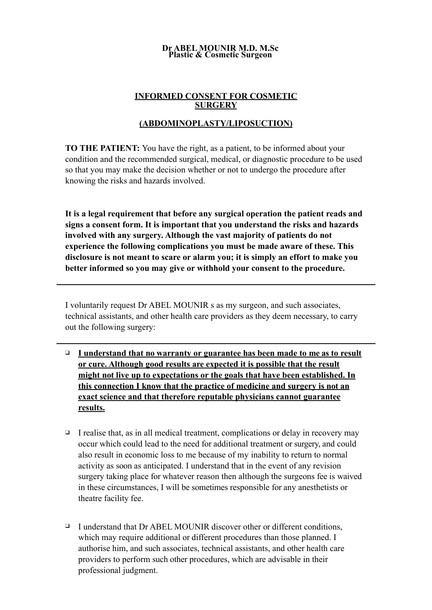#### **Dr ABEL MOUNIR M.D. M.Sc Plastic & Cosmetic Surgeon**

### **INFORMED CONSENT FOR COSMETIC SURGERY**

## **(ABDOMINOPLASTY/LIPOSUCTION)**

**TO THE PATIENT:** You have the right, as a patient, to be informed about your condition and the recommended surgical, medical, or diagnostic procedure to be used so that you may make the decision whether or not to undergo the procedure after knowing the risks and hazards involved.

**It is a legal requirement that before any surgical operation the patient reads and signs a consent form. It is important that you understand the risks and hazards involved with any surgery. Although the vast majority of patients do not experience the following complications you must be made aware of these. This disclosure is not meant to scare or alarm you; it is simply an effort to make you better informed so you may give or withhold your consent to the procedure.** 

I voluntarily request Dr ABEL MOUNIR s as my surgeon, and such associates, technical assistants, and other health care providers as they deem necessary, to carry out the following surgery:

- ❑ **I understand that no warranty or guarantee has been made to me as to result or cure. Although good results are expected it is possible that the result might not live up to expectations or the goals that have been established. In this connection I know that the practice of medicine and surgery is not an exact science and that therefore reputable physicians cannot guarantee results.**
- $\Box$  I realise that, as in all medical treatment, complications or delay in recovery may occur which could lead to the need for additional treatment or surgery, and could also result in economic loss to me because of my inability to return to normal activity as soon as anticipated. I understand that in the event of any revision surgery taking place for whatever reason then although the surgeons fee is waived in these circumstances, I will be sometimes responsible for any anesthetists or theatre facility fee.
- ❑ I understand that Dr ABEL MOUNIR discover other or different conditions, which may require additional or different procedures than those planned. I authorise him, and such associates, technical assistants, and other health care providers to perform such other procedures, which are advisable in their professional judgment.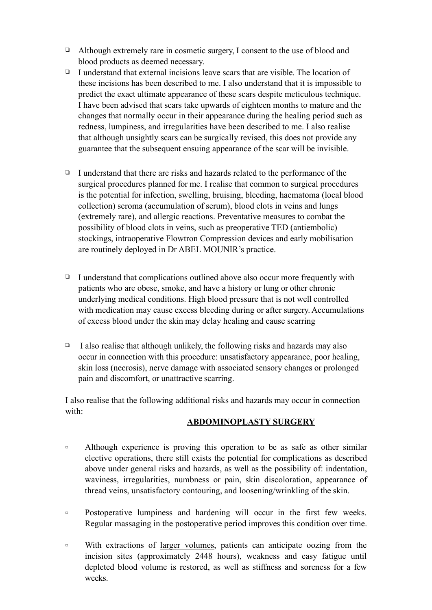- ❑ Although extremely rare in cosmetic surgery, I consent to the use of blood and blood products as deemed necessary.
- ❑ I understand that external incisions leave scars that are visible. The location of these incisions has been described to me. I also understand that it is impossible to predict the exact ultimate appearance of these scars despite meticulous technique. I have been advised that scars take upwards of eighteen months to mature and the changes that normally occur in their appearance during the healing period such as redness, lumpiness, and irregularities have been described to me. I also realise that although unsightly scars can be surgically revised, this does not provide any guarantee that the subsequent ensuing appearance of the scar will be invisible.
- ❑ I understand that there are risks and hazards related to the performance of the surgical procedures planned for me. I realise that common to surgical procedures is the potential for infection, swelling, bruising, bleeding, haematoma (local blood collection) seroma (accumulation of serum), blood clots in veins and lungs (extremely rare), and allergic reactions. Preventative measures to combat the possibility of blood clots in veins, such as preoperative TED (antiembolic) stockings, intraoperative Flowtron Compression devices and early mobilisation are routinely deployed in Dr ABEL MOUNIR's practice.
- $\Box$  I understand that complications outlined above also occur more frequently with patients who are obese, smoke, and have a history or lung or other chronic underlying medical conditions. High blood pressure that is not well controlled with medication may cause excess bleeding during or after surgery. Accumulations of excess blood under the skin may delay healing and cause scarring
- $\Box$  I also realise that although unlikely, the following risks and hazards may also occur in connection with this procedure: unsatisfactory appearance, poor healing, skin loss (necrosis), nerve damage with associated sensory changes or prolonged pain and discomfort, or unattractive scarring.

I also realise that the following additional risks and hazards may occur in connection with:

## **ABDOMINOPLASTY SURGERY**

- □ Although experience is proving this operation to be as safe as other similar elective operations, there still exists the potential for complications as described above under general risks and hazards, as well as the possibility of: indentation, waviness, irregularities, numbness or pain, skin discoloration, appearance of thread veins, unsatisfactory contouring, and loosening/wrinkling of the skin.
- □ Postoperative lumpiness and hardening will occur in the first few weeks. Regular massaging in the postoperative period improves this condition over time.
- □ With extractions of larger volumes, patients can anticipate oozing from the incision sites (approximately 2448 hours), weakness and easy fatigue until depleted blood volume is restored, as well as stiffness and soreness for a few weeks.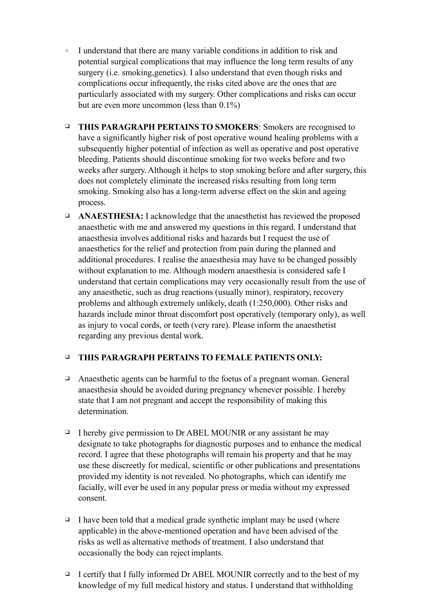- □ I understand that there are many variable conditions in addition to risk and potential surgical complications that may influence the long term results of any surgery (i.e. smoking,genetics). I also understand that even though risks and complications occur infrequently, the risks cited above are the ones that are particularly associated with my surgery. Other complications and risks can occur but are even more uncommon (less than 0.1%)
- ❑ **THIS PARAGRAPH PERTAINS TO SMOKERS**: Smokers are recognised to have a significantly higher risk of post operative wound healing problems with a subsequently higher potential of infection as well as operative and post operative bleeding. Patients should discontinue smoking for two weeks before and two weeks after surgery. Although it helps to stop smoking before and after surgery, this does not completely eliminate the increased risks resulting from long term smoking. Smoking also has a long-term adverse effect on the skin and ageing process.
- ❑ **ANAESTHESIA:** I acknowledge that the anaesthetist has reviewed the proposed anaesthetic with me and answered my questions in this regard. I understand that anaesthesia involves additional risks and hazards but I request the use of anaesthetics for the relief and protection from pain during the planned and additional procedures. I realise the anaesthesia may have to be changed possibly without explanation to me. Although modern anaesthesia is considered safe I understand that certain complications may very occasionally result from the use of any anaesthetic, such as drug reactions (usually minor), respiratory, recovery problems and although extremely unlikely, death (1:250,000). Other risks and hazards include minor throat discomfort post operatively (temporary only), as well as injury to vocal cords, or teeth (very rare). Please inform the anaesthetist regarding any previous dental work.

### ❑ **THIS PARAGRAPH PERTAINS TO FEMALE PATIENTS ONLY:**

- ❑ Anaesthetic agents can be harmful to the foetus of a pregnant woman. General anaesthesia should be avoided during pregnancy whenever possible. I hereby state that I am not pregnant and accept the responsibility of making this determination.
- ❑ I hereby give permission to Dr ABEL MOUNIR or any assistant he may designate to take photographs for diagnostic purposes and to enhance the medical record. I agree that these photographs will remain his property and that he may use these discreetly for medical, scientific or other publications and presentations provided my identity is not revealed. No photographs, which can identify me facially, will ever be used in any popular press or media without my expressed consent.
- $\Box$  I have been told that a medical grade synthetic implant may be used (where applicable) in the above-mentioned operation and have been advised of the risks as well as alternative methods of treatment. I also understand that occasionally the body can reject implants.
- $\Box$  I certify that I fully informed Dr ABEL MOUNIR correctly and to the best of my knowledge of my full medical history and status. I understand that withholding